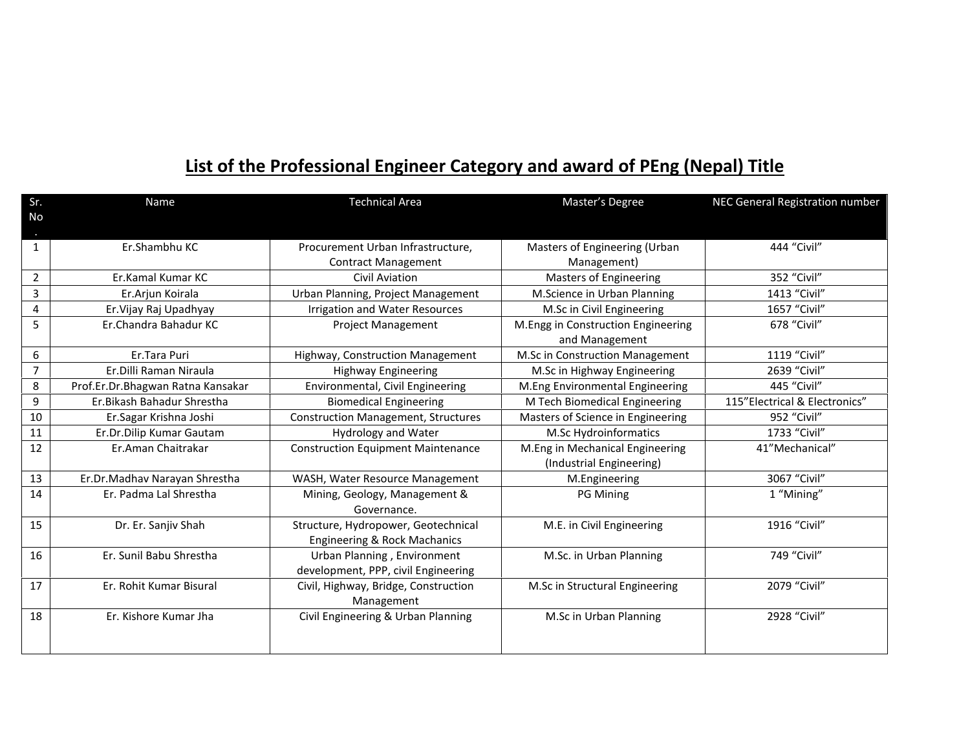## **List of the Professional Engineer Category and award of PEng (Nepal) Title**

| <b>Name</b>                       | <b>Technical Area</b>                                                            | Master's Degree                                                                                                                                                                                     | NEC General Registration number                                                                                                                                                                                                             |
|-----------------------------------|----------------------------------------------------------------------------------|-----------------------------------------------------------------------------------------------------------------------------------------------------------------------------------------------------|---------------------------------------------------------------------------------------------------------------------------------------------------------------------------------------------------------------------------------------------|
|                                   |                                                                                  |                                                                                                                                                                                                     |                                                                                                                                                                                                                                             |
|                                   |                                                                                  |                                                                                                                                                                                                     |                                                                                                                                                                                                                                             |
|                                   |                                                                                  |                                                                                                                                                                                                     | 444 "Civil"                                                                                                                                                                                                                                 |
|                                   |                                                                                  |                                                                                                                                                                                                     |                                                                                                                                                                                                                                             |
|                                   |                                                                                  |                                                                                                                                                                                                     | 352 "Civil"                                                                                                                                                                                                                                 |
|                                   |                                                                                  |                                                                                                                                                                                                     | 1413 "Civil"                                                                                                                                                                                                                                |
|                                   | Irrigation and Water Resources                                                   |                                                                                                                                                                                                     | 1657 "Civil"                                                                                                                                                                                                                                |
| Er.Chandra Bahadur KC             |                                                                                  |                                                                                                                                                                                                     | 678 "Civil"                                                                                                                                                                                                                                 |
|                                   |                                                                                  | and Management                                                                                                                                                                                      |                                                                                                                                                                                                                                             |
| Er.Tara Puri                      | Highway, Construction Management                                                 | M.Sc in Construction Management                                                                                                                                                                     | 1119 "Civil"                                                                                                                                                                                                                                |
| Er.Dilli Raman Niraula            | <b>Highway Engineering</b>                                                       | M.Sc in Highway Engineering                                                                                                                                                                         | 2639 "Civil"                                                                                                                                                                                                                                |
| Prof.Er.Dr.Bhagwan Ratna Kansakar | Environmental, Civil Engineering                                                 | M.Eng Environmental Engineering                                                                                                                                                                     | 445 "Civil"                                                                                                                                                                                                                                 |
| Er. Bikash Bahadur Shrestha       | <b>Biomedical Engineering</b>                                                    | M Tech Biomedical Engineering                                                                                                                                                                       | 115"Electrical & Electronics"                                                                                                                                                                                                               |
| Er.Sagar Krishna Joshi            | <b>Construction Management, Structures</b>                                       | Masters of Science in Engineering                                                                                                                                                                   | 952 "Civil"                                                                                                                                                                                                                                 |
| Er.Dr.Dilip Kumar Gautam          | <b>Hydrology and Water</b>                                                       | M.Sc Hydroinformatics                                                                                                                                                                               | 1733 "Civil"                                                                                                                                                                                                                                |
| Er.Aman Chaitrakar                | <b>Construction Equipment Maintenance</b>                                        | M.Eng in Mechanical Engineering                                                                                                                                                                     | 41"Mechanical"                                                                                                                                                                                                                              |
|                                   |                                                                                  | (Industrial Engineering)                                                                                                                                                                            |                                                                                                                                                                                                                                             |
| Er.Dr.Madhav Narayan Shrestha     | WASH, Water Resource Management                                                  | M.Engineering                                                                                                                                                                                       | 3067 "Civil"                                                                                                                                                                                                                                |
| Er. Padma Lal Shrestha            | Mining, Geology, Management &                                                    | PG Mining                                                                                                                                                                                           | 1 "Mining"                                                                                                                                                                                                                                  |
|                                   | Governance.                                                                      |                                                                                                                                                                                                     |                                                                                                                                                                                                                                             |
| Dr. Er. Sanjiv Shah               | Structure, Hydropower, Geotechnical                                              | M.E. in Civil Engineering                                                                                                                                                                           | 1916 "Civil"                                                                                                                                                                                                                                |
|                                   | Engineering & Rock Machanics                                                     |                                                                                                                                                                                                     |                                                                                                                                                                                                                                             |
| Er. Sunil Babu Shrestha           | Urban Planning, Environment                                                      | M.Sc. in Urban Planning                                                                                                                                                                             | 749 "Civil"                                                                                                                                                                                                                                 |
|                                   | development, PPP, civil Engineering                                              |                                                                                                                                                                                                     |                                                                                                                                                                                                                                             |
| Er. Rohit Kumar Bisural           |                                                                                  |                                                                                                                                                                                                     | 2079 "Civil"                                                                                                                                                                                                                                |
|                                   | Management                                                                       |                                                                                                                                                                                                     |                                                                                                                                                                                                                                             |
| Er. Kishore Kumar Jha             | Civil Engineering & Urban Planning                                               |                                                                                                                                                                                                     | 2928 "Civil"                                                                                                                                                                                                                                |
|                                   |                                                                                  |                                                                                                                                                                                                     |                                                                                                                                                                                                                                             |
|                                   |                                                                                  |                                                                                                                                                                                                     |                                                                                                                                                                                                                                             |
|                                   | Er.Shambhu KC<br>Er.Kamal Kumar KC<br>Er.Arjun Koirala<br>Er. Vijay Raj Upadhyay | Procurement Urban Infrastructure,<br><b>Contract Management</b><br><b>Civil Aviation</b><br>Urban Planning, Project Management<br><b>Project Management</b><br>Civil, Highway, Bridge, Construction | Masters of Engineering (Urban<br>Management)<br><b>Masters of Engineering</b><br>M.Science in Urban Planning<br>M.Sc in Civil Engineering<br>M.Engg in Construction Engineering<br>M.Sc in Structural Engineering<br>M.Sc in Urban Planning |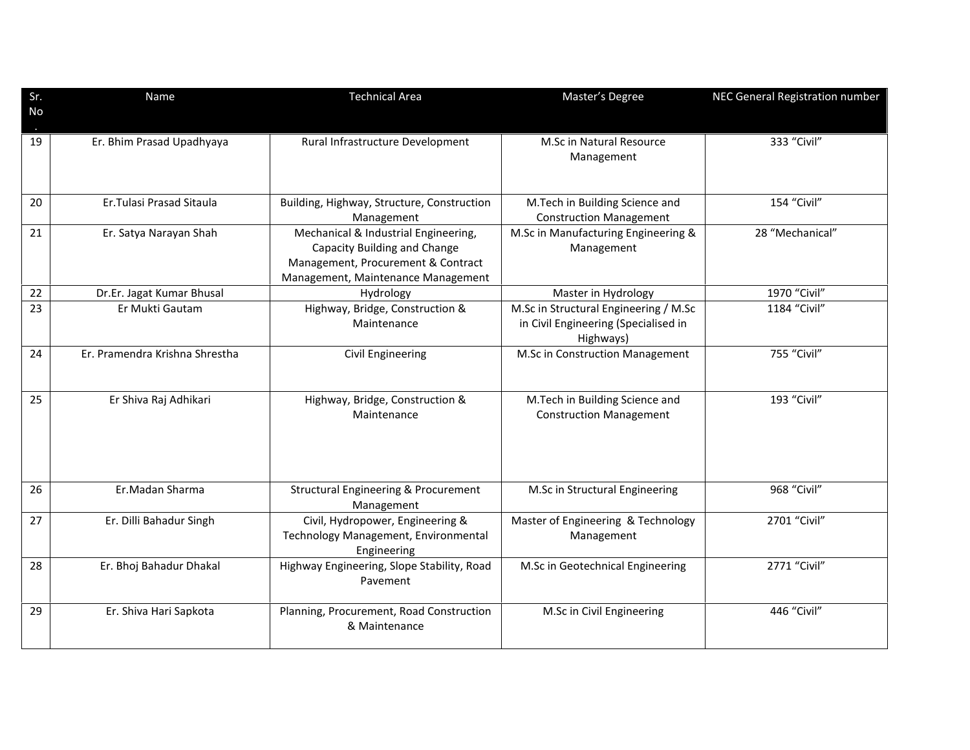| Sr. | Name                           | <b>Technical Area</b>                                                                                                                            | Master's Degree                                                                            | NEC General Registration number |
|-----|--------------------------------|--------------------------------------------------------------------------------------------------------------------------------------------------|--------------------------------------------------------------------------------------------|---------------------------------|
| No  |                                |                                                                                                                                                  |                                                                                            |                                 |
| 19  | Er. Bhim Prasad Upadhyaya      | Rural Infrastructure Development                                                                                                                 | M.Sc in Natural Resource<br>Management                                                     | 333 "Civil"                     |
| 20  | Er. Tulasi Prasad Sitaula      | Building, Highway, Structure, Construction<br>Management                                                                                         | M.Tech in Building Science and<br><b>Construction Management</b>                           | 154 "Civil"                     |
| 21  | Er. Satya Narayan Shah         | Mechanical & Industrial Engineering,<br>Capacity Building and Change<br>Management, Procurement & Contract<br>Management, Maintenance Management | M.Sc in Manufacturing Engineering &<br>Management                                          | 28 "Mechanical"                 |
| 22  | Dr.Er. Jagat Kumar Bhusal      | Hydrology                                                                                                                                        | Master in Hydrology                                                                        | 1970 "Civil"                    |
| 23  | Er Mukti Gautam                | Highway, Bridge, Construction &<br>Maintenance                                                                                                   | M.Sc in Structural Engineering / M.Sc<br>in Civil Engineering (Specialised in<br>Highways) | 1184 "Civil"                    |
| 24  | Er. Pramendra Krishna Shrestha | Civil Engineering                                                                                                                                | M.Sc in Construction Management                                                            | 755 "Civil"                     |
| 25  | Er Shiva Raj Adhikari          | Highway, Bridge, Construction &<br>Maintenance                                                                                                   | M.Tech in Building Science and<br><b>Construction Management</b>                           | 193 "Civil"                     |
| 26  | Er.Madan Sharma                | <b>Structural Engineering &amp; Procurement</b><br>Management                                                                                    | M.Sc in Structural Engineering                                                             | 968 "Civil"                     |
| 27  | Er. Dilli Bahadur Singh        | Civil, Hydropower, Engineering &<br>Technology Management, Environmental<br>Engineering                                                          | Master of Engineering & Technology<br>Management                                           | 2701 "Civil"                    |
| 28  | Er. Bhoj Bahadur Dhakal        | Highway Engineering, Slope Stability, Road<br>Pavement                                                                                           | M.Sc in Geotechnical Engineering                                                           | 2771 "Civil"                    |
| 29  | Er. Shiva Hari Sapkota         | Planning, Procurement, Road Construction<br>& Maintenance                                                                                        | M.Sc in Civil Engineering                                                                  | 446 "Civil"                     |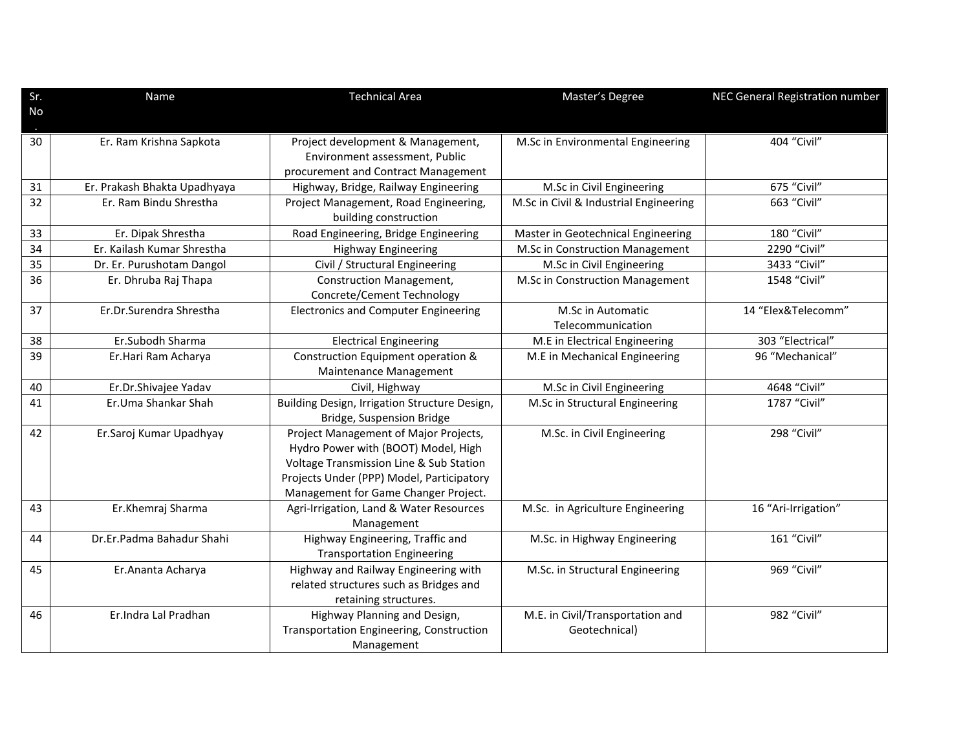| Sr. | Name                         | <b>Technical Area</b>                         | Master's Degree                        | NEC General Registration number |
|-----|------------------------------|-----------------------------------------------|----------------------------------------|---------------------------------|
| No  |                              |                                               |                                        |                                 |
|     |                              |                                               |                                        |                                 |
| 30  | Er. Ram Krishna Sapkota      | Project development & Management,             | M.Sc in Environmental Engineering      | 404 "Civil"                     |
|     |                              | Environment assessment, Public                |                                        |                                 |
|     |                              | procurement and Contract Management           |                                        |                                 |
| 31  | Er. Prakash Bhakta Upadhyaya | Highway, Bridge, Railway Engineering          | M.Sc in Civil Engineering              | 675 "Civil"                     |
| 32  | Er. Ram Bindu Shrestha       | Project Management, Road Engineering,         | M.Sc in Civil & Industrial Engineering | 663 "Civil"                     |
|     |                              | building construction                         |                                        |                                 |
| 33  | Er. Dipak Shrestha           | Road Engineering, Bridge Engineering          | Master in Geotechnical Engineering     | 180 "Civil"                     |
| 34  | Er. Kailash Kumar Shrestha   | <b>Highway Engineering</b>                    | M.Sc in Construction Management        | 2290 "Civil"                    |
| 35  | Dr. Er. Purushotam Dangol    | Civil / Structural Engineering                | M.Sc in Civil Engineering              | 3433 "Civil"                    |
| 36  | Er. Dhruba Raj Thapa         | Construction Management,                      | M.Sc in Construction Management        | 1548 "Civil"                    |
|     |                              | Concrete/Cement Technology                    |                                        |                                 |
| 37  | Er.Dr.Surendra Shrestha      | <b>Electronics and Computer Engineering</b>   | M.Sc in Automatic                      | 14 "Elex&Telecomm"              |
|     |                              |                                               | Telecommunication                      |                                 |
| 38  | Er.Subodh Sharma             | <b>Electrical Engineering</b>                 | M.E in Electrical Engineering          | 303 "Electrical"                |
| 39  | Er.Hari Ram Acharya          | Construction Equipment operation &            | M.E in Mechanical Engineering          | 96 "Mechanical"                 |
|     |                              | Maintenance Management                        |                                        |                                 |
| 40  | Er.Dr.Shivajee Yadav         | Civil, Highway                                | M.Sc in Civil Engineering              | 4648 "Civil"                    |
| 41  | Er.Uma Shankar Shah          | Building Design, Irrigation Structure Design, | M.Sc in Structural Engineering         | 1787 "Civil"                    |
|     |                              | Bridge, Suspension Bridge                     |                                        |                                 |
| 42  | Er.Saroj Kumar Upadhyay      | Project Management of Major Projects,         | M.Sc. in Civil Engineering             | 298 "Civil"                     |
|     |                              | Hydro Power with (BOOT) Model, High           |                                        |                                 |
|     |                              | Voltage Transmission Line & Sub Station       |                                        |                                 |
|     |                              | Projects Under (PPP) Model, Participatory     |                                        |                                 |
|     |                              | Management for Game Changer Project.          |                                        |                                 |
| 43  | Er.Khemraj Sharma            | Agri-Irrigation, Land & Water Resources       | M.Sc. in Agriculture Engineering       | 16 "Ari-Irrigation"             |
|     |                              | Management                                    |                                        |                                 |
| 44  | Dr.Er.Padma Bahadur Shahi    | Highway Engineering, Traffic and              | M.Sc. in Highway Engineering           | 161 "Civil"                     |
|     |                              | <b>Transportation Engineering</b>             |                                        |                                 |
| 45  | Er. Ananta Acharya           | Highway and Railway Engineering with          | M.Sc. in Structural Engineering        | 969 "Civil"                     |
|     |                              | related structures such as Bridges and        |                                        |                                 |
|     |                              | retaining structures.                         |                                        |                                 |
| 46  | Er.Indra Lal Pradhan         | Highway Planning and Design,                  | M.E. in Civil/Transportation and       | 982 "Civil"                     |
|     |                              | Transportation Engineering, Construction      | Geotechnical)                          |                                 |
|     |                              | Management                                    |                                        |                                 |